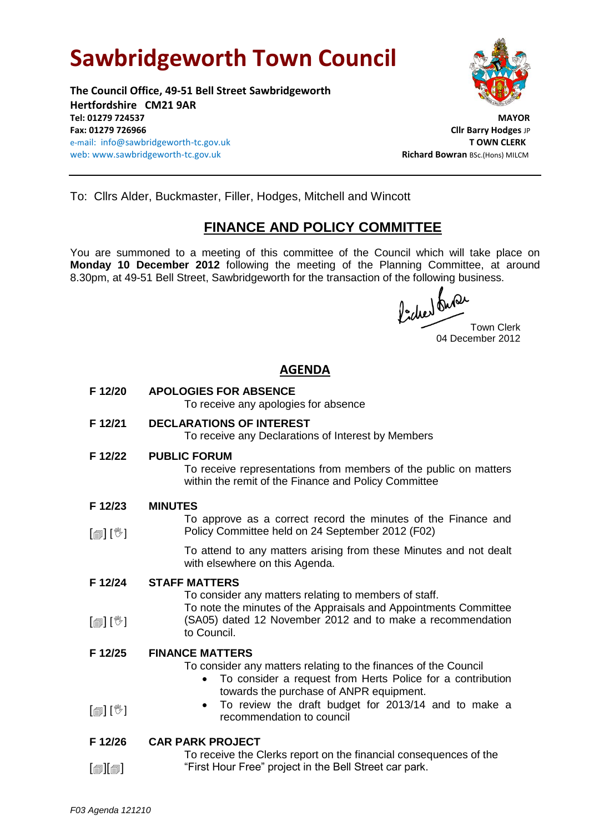# **Sawbridgeworth Town Council**

**The Council Office, 49-51 Bell Street Sawbridgeworth Hertfordshire CM21 9AR Tel: 01279 724537 MAYOR Fax: 01279 726966 Cllr Barry Hodges** JP e-mail: info@sawbridgeworth-tc.gov.uk **T OWN CLERK** web: www.sawbridgeworth-tc.gov.uk and a state of the state of the state Richard Bowran BSc.(Hons) MILCM



To: Cllrs Alder, Buckmaster, Filler, Hodges, Mitchell and Wincott

## **FINANCE AND POLICY COMMITTEE**

You are summoned to a meeting of this committee of the Council which will take place on **Monday 10 December 2012** following the meeting of the Planning Committee, at around 8.30pm, at 49-51 Bell Street, Sawbridgeworth for the transaction of the following business.

fiched our Town Clerk

04 December 2012

### **AGENDA**

- **F 12/20 APOLOGIES FOR ABSENCE** To receive any apologies for absence
- **F 12/21 DECLARATIONS OF INTEREST**

To receive any Declarations of Interest by Members

**F 12/22 PUBLIC FORUM**

To receive representations from members of the public on matters within the remit of the Finance and Policy Committee

- **F 12/23 MINUTES**
- [創] [<sup>%</sup>] To approve as a correct record the minutes of the Finance and Policy Committee held on 24 September 2012 (F02)

To attend to any matters arising from these Minutes and not dealt with elsewhere on this Agenda.

**F 12/24 STAFF MATTERS**

To consider any matters relating to members of staff. To note the minutes of the Appraisals and Appointments Committee

[創] [V] (SA05) dated 12 November 2012 and to make a recommendation to Council.

#### **F 12/25 FINANCE MATTERS**

To consider any matters relating to the finances of the Council

- To consider a request from Herts Police for a contribution towards the purchase of ANPR equipment.
- $\lceil \frac{m}{2} \rceil$   $\lceil \frac{m}{2} \rceil$  To review the draft budget for 2013/14 and to make a recommendation to council

#### **F 12/26 CAR PARK PROJECT**

 $\lceil$ i $\lceil$ i $\lceil$ To receive the Clerks report on the financial consequences of the "First Hour Free" project in the Bell Street car park.